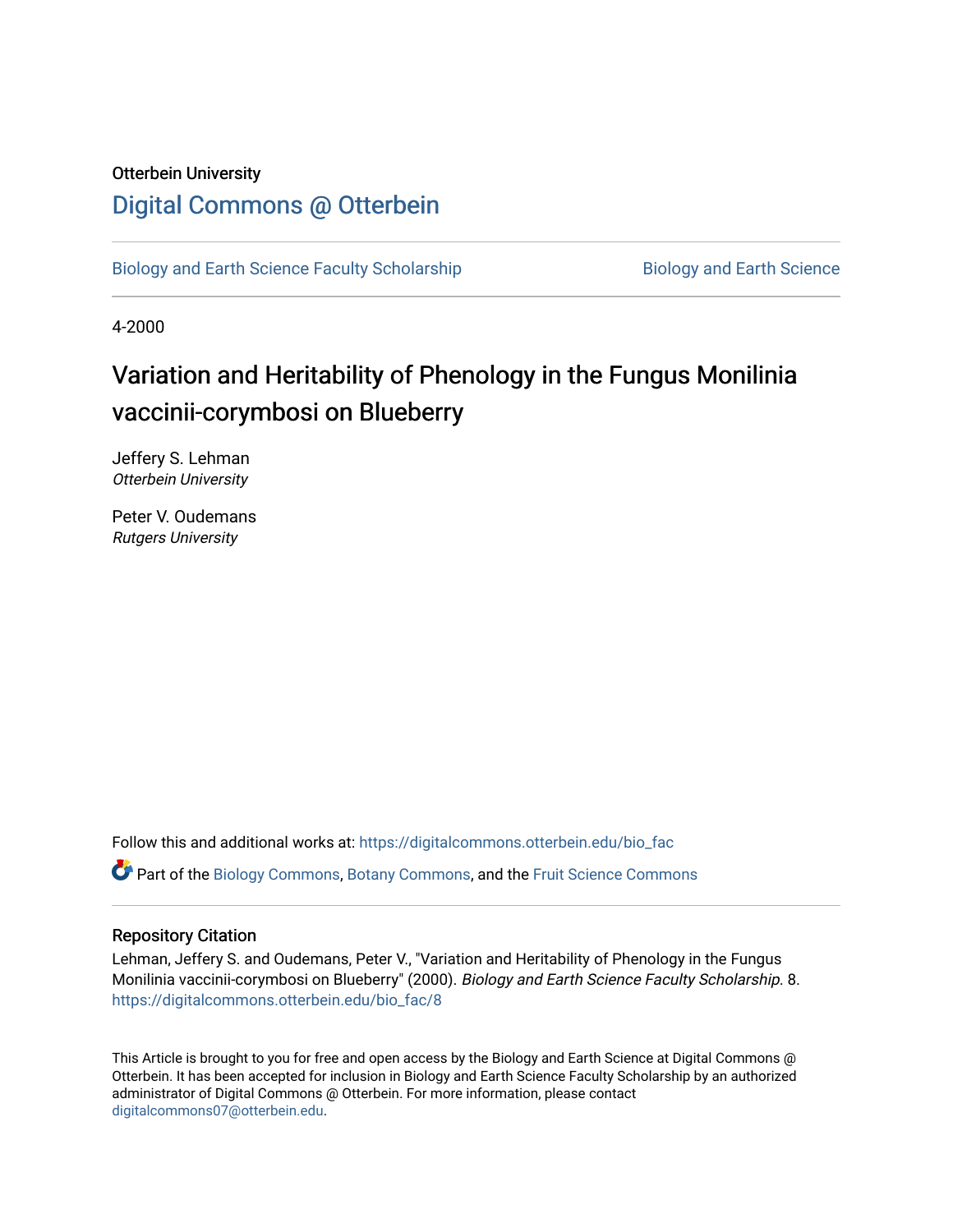## Otterbein University [Digital Commons @ Otterbein](https://digitalcommons.otterbein.edu/)

[Biology and Earth Science Faculty Scholarship](https://digitalcommons.otterbein.edu/bio_fac) **Biology and Earth Science** 

4-2000

# Variation and Heritability of Phenology in the Fungus Monilinia vaccinii-corymbosi on Blueberry

Jeffery S. Lehman Otterbein University

Peter V. Oudemans Rutgers University

Follow this and additional works at: [https://digitalcommons.otterbein.edu/bio\\_fac](https://digitalcommons.otterbein.edu/bio_fac?utm_source=digitalcommons.otterbein.edu%2Fbio_fac%2F8&utm_medium=PDF&utm_campaign=PDFCoverPages)

Part of the [Biology Commons,](http://network.bepress.com/hgg/discipline/41?utm_source=digitalcommons.otterbein.edu%2Fbio_fac%2F8&utm_medium=PDF&utm_campaign=PDFCoverPages) [Botany Commons,](http://network.bepress.com/hgg/discipline/104?utm_source=digitalcommons.otterbein.edu%2Fbio_fac%2F8&utm_medium=PDF&utm_campaign=PDFCoverPages) and the [Fruit Science Commons](http://network.bepress.com/hgg/discipline/1064?utm_source=digitalcommons.otterbein.edu%2Fbio_fac%2F8&utm_medium=PDF&utm_campaign=PDFCoverPages) 

### Repository Citation

Lehman, Jeffery S. and Oudemans, Peter V., "Variation and Heritability of Phenology in the Fungus Monilinia vaccinii-corymbosi on Blueberry" (2000). Biology and Earth Science Faculty Scholarship. 8. [https://digitalcommons.otterbein.edu/bio\\_fac/8](https://digitalcommons.otterbein.edu/bio_fac/8?utm_source=digitalcommons.otterbein.edu%2Fbio_fac%2F8&utm_medium=PDF&utm_campaign=PDFCoverPages)

This Article is brought to you for free and open access by the Biology and Earth Science at Digital Commons @ Otterbein. It has been accepted for inclusion in Biology and Earth Science Faculty Scholarship by an authorized administrator of Digital Commons @ Otterbein. For more information, please contact [digitalcommons07@otterbein.edu](mailto:digitalcommons07@otterbein.edu).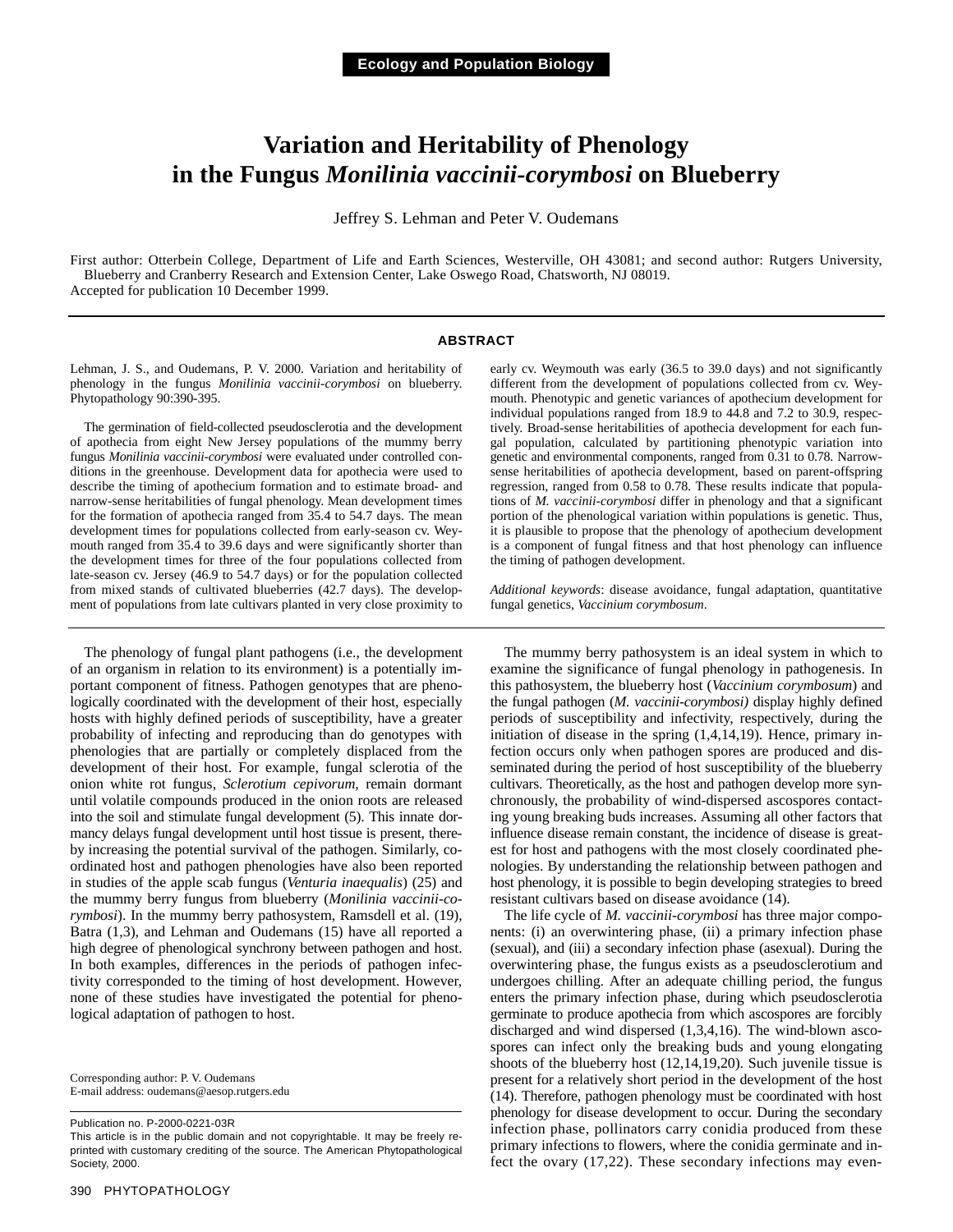## **Variation and Heritability of Phenology in the Fungus** *Monilinia vaccinii-corymbosi* **on Blueberry**

Jeffrey S. Lehman and Peter V. Oudemans

First author: Otterbein College, Department of Life and Earth Sciences, Westerville, OH 43081; and second author: Rutgers University, Blueberry and Cranberry Research and Extension Center, Lake Oswego Road, Chatsworth, NJ 08019. Accepted for publication 10 December 1999.

#### **ABSTRACT**

Lehman, J. S., and Oudemans, P. V. 2000. Variation and heritability of phenology in the fungus *Monilinia vaccinii-corymbosi* on blueberry. Phytopathology 90:390-395.

The germination of field-collected pseudosclerotia and the development of apothecia from eight New Jersey populations of the mummy berry fungus *Monilinia vaccinii-corymbosi* were evaluated under controlled conditions in the greenhouse. Development data for apothecia were used to describe the timing of apothecium formation and to estimate broad- and narrow-sense heritabilities of fungal phenology. Mean development times for the formation of apothecia ranged from 35.4 to 54.7 days. The mean development times for populations collected from early-season cv. Weymouth ranged from 35.4 to 39.6 days and were significantly shorter than the development times for three of the four populations collected from late-season cv. Jersey (46.9 to 54.7 days) or for the population collected from mixed stands of cultivated blueberries (42.7 days). The development of populations from late cultivars planted in very close proximity to

The phenology of fungal plant pathogens (i.e., the development of an organism in relation to its environment) is a potentially important component of fitness. Pathogen genotypes that are phenologically coordinated with the development of their host, especially hosts with highly defined periods of susceptibility, have a greater probability of infecting and reproducing than do genotypes with phenologies that are partially or completely displaced from the development of their host. For example, fungal sclerotia of the onion white rot fungus, *Sclerotium cepivorum*, remain dormant until volatile compounds produced in the onion roots are released into the soil and stimulate fungal development (5). This innate dormancy delays fungal development until host tissue is present, thereby increasing the potential survival of the pathogen. Similarly, coordinated host and pathogen phenologies have also been reported in studies of the apple scab fungus (*Venturia inaequalis*) (25) and the mummy berry fungus from blueberry (*Monilinia vaccinii-corymbosi*). In the mummy berry pathosystem, Ramsdell et al. (19), Batra (1,3), and Lehman and Oudemans (15) have all reported a high degree of phenological synchrony between pathogen and host. In both examples, differences in the periods of pathogen infectivity corresponded to the timing of host development. However, none of these studies have investigated the potential for phenological adaptation of pathogen to host.

Corresponding author: P. V. Oudemans E-mail address: oudemans@aesop.rutgers.edu

Publication no. P-2000-0221-03R

This article is in the public domain and not copyrightable. It may be freely reprinted with customary crediting of the source. The American Phytopathological Society, 2000.

early cv. Weymouth was early (36.5 to 39.0 days) and not significantly different from the development of populations collected from cv. Weymouth. Phenotypic and genetic variances of apothecium development for individual populations ranged from 18.9 to 44.8 and 7.2 to 30.9, respectively. Broad-sense heritabilities of apothecia development for each fungal population, calculated by partitioning phenotypic variation into genetic and environmental components, ranged from 0.31 to 0.78. Narrowsense heritabilities of apothecia development, based on parent-offspring regression, ranged from 0.58 to 0.78. These results indicate that populations of *M. vaccinii-corymbosi* differ in phenology and that a significant portion of the phenological variation within populations is genetic. Thus, it is plausible to propose that the phenology of apothecium development is a component of fungal fitness and that host phenology can influence the timing of pathogen development.

*Additional keywords*: disease avoidance, fungal adaptation, quantitative fungal genetics, *Vaccinium corymbosum*.

The mummy berry pathosystem is an ideal system in which to examine the significance of fungal phenology in pathogenesis. In this pathosystem, the blueberry host (*Vaccinium corymbosum*) and the fungal pathogen (*M. vaccinii-corymbosi)* display highly defined periods of susceptibility and infectivity, respectively, during the initiation of disease in the spring (1,4,14,19). Hence, primary infection occurs only when pathogen spores are produced and disseminated during the period of host susceptibility of the blueberry cultivars. Theoretically, as the host and pathogen develop more synchronously, the probability of wind-dispersed ascospores contacting young breaking buds increases. Assuming all other factors that influence disease remain constant, the incidence of disease is greatest for host and pathogens with the most closely coordinated phenologies. By understanding the relationship between pathogen and host phenology, it is possible to begin developing strategies to breed resistant cultivars based on disease avoidance (14).

The life cycle of *M. vaccinii-corymbosi* has three major components: (i) an overwintering phase, (ii) a primary infection phase (sexual), and (iii) a secondary infection phase (asexual). During the overwintering phase, the fungus exists as a pseudosclerotium and undergoes chilling. After an adequate chilling period, the fungus enters the primary infection phase, during which pseudosclerotia germinate to produce apothecia from which ascospores are forcibly discharged and wind dispersed (1,3,4,16). The wind-blown ascospores can infect only the breaking buds and young elongating shoots of the blueberry host (12,14,19,20). Such juvenile tissue is present for a relatively short period in the development of the host (14). Therefore, pathogen phenology must be coordinated with host phenology for disease development to occur. During the secondary infection phase, pollinators carry conidia produced from these primary infections to flowers, where the conidia germinate and infect the ovary (17,22). These secondary infections may even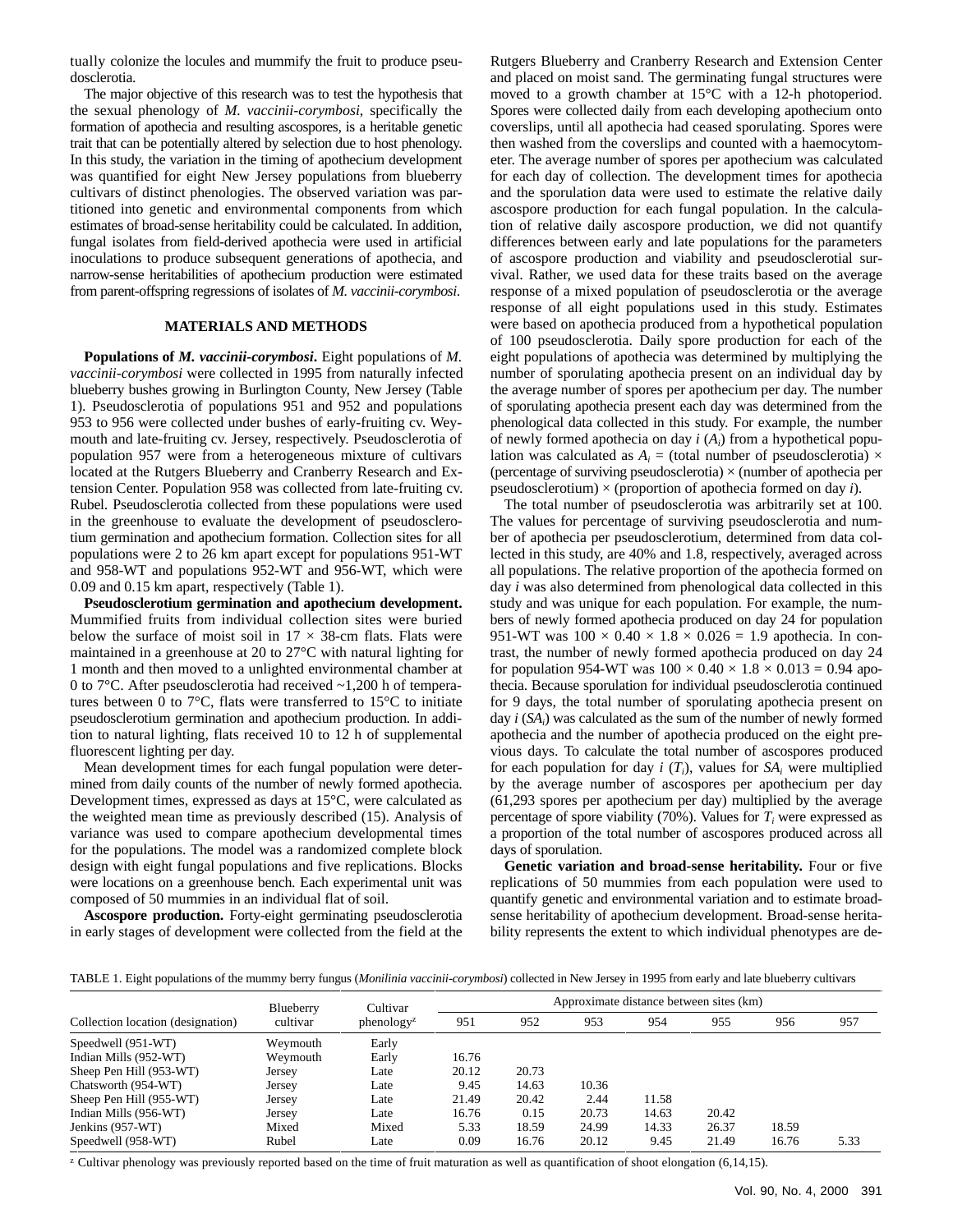tually colonize the locules and mummify the fruit to produce pseudosclerotia.

The major objective of this research was to test the hypothesis that the sexual phenology of *M. vaccinii-corymbosi*, specifically the formation of apothecia and resulting ascospores, is a heritable genetic trait that can be potentially altered by selection due to host phenology. In this study, the variation in the timing of apothecium development was quantified for eight New Jersey populations from blueberry cultivars of distinct phenologies. The observed variation was partitioned into genetic and environmental components from which estimates of broad-sense heritability could be calculated. In addition, fungal isolates from field-derived apothecia were used in artificial inoculations to produce subsequent generations of apothecia, and narrow-sense heritabilities of apothecium production were estimated from parent-offspring regressions of isolates of *M. vaccinii-corymbosi*.

#### **MATERIALS AND METHODS**

**Populations of** *M. vaccinii-corymbosi***.** Eight populations of *M. vaccinii-corymbosi* were collected in 1995 from naturally infected blueberry bushes growing in Burlington County, New Jersey (Table 1). Pseudosclerotia of populations 951 and 952 and populations 953 to 956 were collected under bushes of early-fruiting cv. Weymouth and late-fruiting cv. Jersey, respectively. Pseudosclerotia of population 957 were from a heterogeneous mixture of cultivars located at the Rutgers Blueberry and Cranberry Research and Extension Center. Population 958 was collected from late-fruiting cv. Rubel. Pseudosclerotia collected from these populations were used in the greenhouse to evaluate the development of pseudosclerotium germination and apothecium formation. Collection sites for all populations were 2 to 26 km apart except for populations 951-WT and 958-WT and populations 952-WT and 956-WT, which were 0.09 and 0.15 km apart, respectively (Table 1).

**Pseudosclerotium germination and apothecium development.** Mummified fruits from individual collection sites were buried below the surface of moist soil in  $17 \times 38$ -cm flats. Flats were maintained in a greenhouse at 20 to 27°C with natural lighting for 1 month and then moved to a unlighted environmental chamber at 0 to 7°C. After pseudosclerotia had received ~1,200 h of temperatures between 0 to 7°C, flats were transferred to 15°C to initiate pseudosclerotium germination and apothecium production. In addition to natural lighting, flats received 10 to 12 h of supplemental fluorescent lighting per day.

Mean development times for each fungal population were determined from daily counts of the number of newly formed apothecia. Development times, expressed as days at 15°C, were calculated as the weighted mean time as previously described (15). Analysis of variance was used to compare apothecium developmental times for the populations. The model was a randomized complete block design with eight fungal populations and five replications. Blocks were locations on a greenhouse bench. Each experimental unit was composed of 50 mummies in an individual flat of soil.

**Ascospore production.** Forty-eight germinating pseudosclerotia in early stages of development were collected from the field at the

Rutgers Blueberry and Cranberry Research and Extension Center and placed on moist sand. The germinating fungal structures were moved to a growth chamber at 15°C with a 12-h photoperiod. Spores were collected daily from each developing apothecium onto coverslips, until all apothecia had ceased sporulating. Spores were then washed from the coverslips and counted with a haemocytometer. The average number of spores per apothecium was calculated for each day of collection. The development times for apothecia and the sporulation data were used to estimate the relative daily ascospore production for each fungal population. In the calculation of relative daily ascospore production, we did not quantify differences between early and late populations for the parameters of ascospore production and viability and pseudosclerotial survival. Rather, we used data for these traits based on the average response of a mixed population of pseudosclerotia or the average response of all eight populations used in this study. Estimates were based on apothecia produced from a hypothetical population of 100 pseudosclerotia. Daily spore production for each of the eight populations of apothecia was determined by multiplying the number of sporulating apothecia present on an individual day by the average number of spores per apothecium per day. The number of sporulating apothecia present each day was determined from the phenological data collected in this study. For example, the number of newly formed apothecia on day *i* (*Ai*) from a hypothetical population was calculated as  $A_i$  = (total number of pseudosclerotia)  $\times$ (percentage of surviving pseudosclerotia)  $\times$  (number of apothecia per pseudosclerotium) × (proportion of apothecia formed on day *i*).

The total number of pseudosclerotia was arbitrarily set at 100. The values for percentage of surviving pseudosclerotia and number of apothecia per pseudosclerotium, determined from data collected in this study, are 40% and 1.8, respectively, averaged across all populations. The relative proportion of the apothecia formed on day *i* was also determined from phenological data collected in this study and was unique for each population. For example, the numbers of newly formed apothecia produced on day 24 for population 951-WT was  $100 \times 0.40 \times 1.8 \times 0.026 = 1.9$  apothecia. In contrast, the number of newly formed apothecia produced on day 24 for population 954-WT was  $100 \times 0.40 \times 1.8 \times 0.013 = 0.94$  apothecia. Because sporulation for individual pseudosclerotia continued for 9 days, the total number of sporulating apothecia present on day *i* (*SAi*) was calculated as the sum of the number of newly formed apothecia and the number of apothecia produced on the eight previous days. To calculate the total number of ascospores produced for each population for day  $i(T_i)$ , values for  $SA_i$  were multiplied by the average number of ascospores per apothecium per day (61,293 spores per apothecium per day) multiplied by the average percentage of spore viability  $(70\%)$ . Values for  $T_i$  were expressed as a proportion of the total number of ascospores produced across all days of sporulation.

**Genetic variation and broad-sense heritability.** Four or five replications of 50 mummies from each population were used to quantify genetic and environmental variation and to estimate broadsense heritability of apothecium development. Broad-sense heritability represents the extent to which individual phenotypes are de-

TABLE 1. Eight populations of the mummy berry fungus (*Monilinia vaccinii-corymbosi*) collected in New Jersey in 1995 from early and late blueberry cultivars

| Collection location (designation) | Blueberry<br>cultivar | Cultivar<br>phenology <sup>z</sup> | Approximate distance between sites (km) |       |       |       |       |       |      |
|-----------------------------------|-----------------------|------------------------------------|-----------------------------------------|-------|-------|-------|-------|-------|------|
|                                   |                       |                                    | 951                                     | 952   | 953   | 954   | 955   | 956   | 957  |
| Speedwell (951-WT)                | Weymouth              | Early                              |                                         |       |       |       |       |       |      |
| Indian Mills (952-WT)             | Weymouth              | Early                              | 16.76                                   |       |       |       |       |       |      |
| Sheep Pen Hill (953-WT)           | Jersey                | Late                               | 20.12                                   | 20.73 |       |       |       |       |      |
| Chatsworth (954-WT)               | Jersey                | Late                               | 9.45                                    | 14.63 | 10.36 |       |       |       |      |
| Sheep Pen Hill (955-WT)           | Jersey                | Late                               | 21.49                                   | 20.42 | 2.44  | 11.58 |       |       |      |
| Indian Mills (956-WT)             | Jersey                | Late                               | 16.76                                   | 0.15  | 20.73 | 14.63 | 20.42 |       |      |
| Jenkins (957-WT)                  | Mixed                 | Mixed                              | 5.33                                    | 18.59 | 24.99 | 14.33 | 26.37 | 18.59 |      |
| Speedwell (958-WT)                | Rubel                 | Late                               | 0.09                                    | 16.76 | 20.12 | 9.45  | 21.49 | 16.76 | 5.33 |

<sup>z</sup> Cultivar phenology was previously reported based on the time of fruit maturation as well as quantification of shoot elongation  $(6,14,15)$ .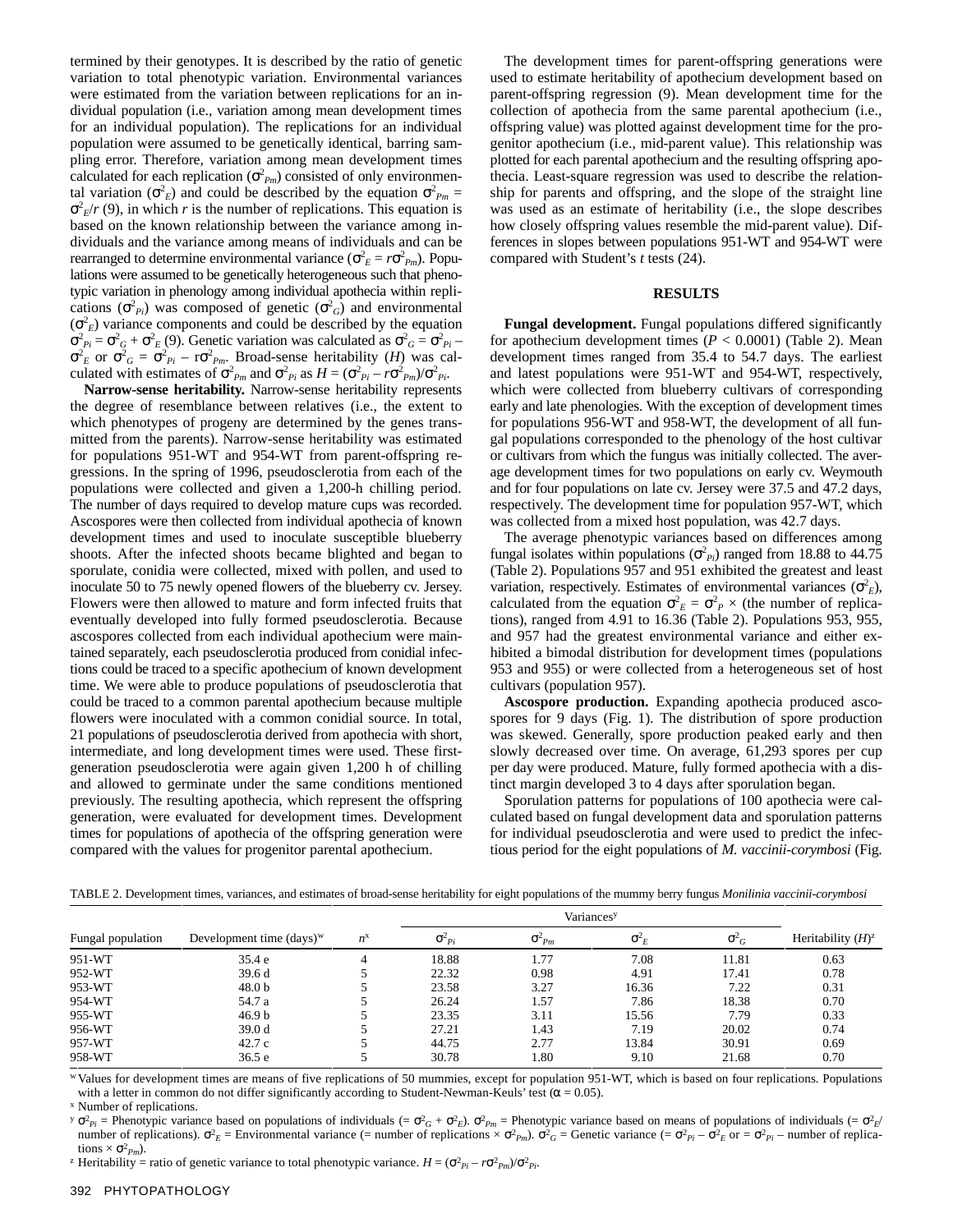termined by their genotypes. It is described by the ratio of genetic variation to total phenotypic variation. Environmental variances were estimated from the variation between replications for an individual population (i.e., variation among mean development times for an individual population). The replications for an individual population were assumed to be genetically identical, barring sampling error. Therefore, variation among mean development times calculated for each replication  $(\sigma_{Pm}^2)$  consisted of only environmental variation ( $\sigma^2$ <sub>*E*</sub>) and could be described by the equation  $\sigma^2$ <sub>*Pm*</sub> =  $\sigma^2$ <sub>*E*</sub>/*r* (9), in which *r* is the number of replications. This equation is based on the known relationship between the variance among individuals and the variance among means of individuals and can be rearranged to determine environmental variance ( $\sigma_E^2 = r \sigma_{Pm}^2$ ). Populations were assumed to be genetically heterogeneous such that phenotypic variation in phenology among individual apothecia within replications  $(\sigma^2_{\rho_i})$  was composed of genetic  $(\sigma^2_{\rho_i})$  and environmental  $(\sigma_E^2)$  variance components and could be described by the equation  $\sigma_{P_i}^2 = \sigma_G^2 + \sigma_E^2$  (9). Genetic variation was calculated as  $\sigma_G^2 = \sigma_{P_i}^2$  $\sigma_E^2$  or  $\sigma_G^2 = \sigma_{Pi}^2 - r \sigma_{Pm}^2$ . Broad-sense heritability (*H*) was calculated with estimates of  $\sigma_{Pm}^2$  and  $\sigma_{Pi}^2$  as  $H = (\sigma_{Pi}^2 - r\sigma_{Pm}^2)/\sigma_{Pi}^2$ .

**Narrow-sense heritability.** Narrow-sense heritability represents the degree of resemblance between relatives (i.e., the extent to which phenotypes of progeny are determined by the genes transmitted from the parents). Narrow-sense heritability was estimated for populations 951-WT and 954-WT from parent-offspring regressions. In the spring of 1996, pseudosclerotia from each of the populations were collected and given a 1,200-h chilling period. The number of days required to develop mature cups was recorded. Ascospores were then collected from individual apothecia of known development times and used to inoculate susceptible blueberry shoots. After the infected shoots became blighted and began to sporulate, conidia were collected, mixed with pollen, and used to inoculate 50 to 75 newly opened flowers of the blueberry cv. Jersey. Flowers were then allowed to mature and form infected fruits that eventually developed into fully formed pseudosclerotia. Because ascospores collected from each individual apothecium were maintained separately, each pseudosclerotia produced from conidial infections could be traced to a specific apothecium of known development time. We were able to produce populations of pseudosclerotia that could be traced to a common parental apothecium because multiple flowers were inoculated with a common conidial source. In total, 21 populations of pseudosclerotia derived from apothecia with short, intermediate, and long development times were used. These firstgeneration pseudosclerotia were again given 1,200 h of chilling and allowed to germinate under the same conditions mentioned previously. The resulting apothecia, which represent the offspring generation, were evaluated for development times. Development times for populations of apothecia of the offspring generation were compared with the values for progenitor parental apothecium.

The development times for parent-offspring generations were used to estimate heritability of apothecium development based on parent-offspring regression (9). Mean development time for the collection of apothecia from the same parental apothecium (i.e., offspring value) was plotted against development time for the progenitor apothecium (i.e., mid-parent value). This relationship was plotted for each parental apothecium and the resulting offspring apothecia. Least-square regression was used to describe the relationship for parents and offspring, and the slope of the straight line was used as an estimate of heritability (i.e., the slope describes how closely offspring values resemble the mid-parent value). Differences in slopes between populations 951-WT and 954-WT were compared with Student's *t* tests (24).

#### **RESULTS**

**Fungal development.** Fungal populations differed significantly for apothecium development times  $(P < 0.0001)$  (Table 2). Mean development times ranged from 35.4 to 54.7 days. The earliest and latest populations were 951-WT and 954-WT, respectively, which were collected from blueberry cultivars of corresponding early and late phenologies. With the exception of development times for populations 956-WT and 958-WT, the development of all fungal populations corresponded to the phenology of the host cultivar or cultivars from which the fungus was initially collected. The average development times for two populations on early cv. Weymouth and for four populations on late cv. Jersey were 37.5 and 47.2 days, respectively. The development time for population 957-WT, which was collected from a mixed host population, was 42.7 days.

The average phenotypic variances based on differences among fungal isolates within populations  $(\sigma^2_{P_i})$  ranged from 18.88 to 44.75 (Table 2). Populations 957 and 951 exhibited the greatest and least variation, respectively. Estimates of environmental variances  $(\sigma^2_E)$ , calculated from the equation  $\sigma_E^2 = \sigma_P^2 \times$  (the number of replications), ranged from 4.91 to 16.36 (Table 2). Populations 953, 955, and 957 had the greatest environmental variance and either exhibited a bimodal distribution for development times (populations 953 and 955) or were collected from a heterogeneous set of host cultivars (population 957).

**Ascospore production.** Expanding apothecia produced ascospores for 9 days (Fig. 1). The distribution of spore production was skewed. Generally, spore production peaked early and then slowly decreased over time. On average, 61,293 spores per cup per day were produced. Mature, fully formed apothecia with a distinct margin developed 3 to 4 days after sporulation began.

Sporulation patterns for populations of 100 apothecia were calculated based on fungal development data and sporulation patterns for individual pseudosclerotia and were used to predict the infectious period for the eight populations of *M. vaccinii-corymbosi* (Fig.

| Fungal population | Development time $(days)^w$ | $n^{\rm x}$ | $\sigma_{pi}$ | $\sigma_{Pm}$ | $\sigma_{E}$ | $\sigma_{G}$ | Heritability $(H)^z$ |
|-------------------|-----------------------------|-------------|---------------|---------------|--------------|--------------|----------------------|
| 951-WT            | 35.4e                       |             | 18.88         | 1.77          | 7.08         | 11.81        | 0.63                 |
| 952-WT            | 39.6d                       |             | 22.32         | 0.98          | 4.91         | 17.41        | 0.78                 |
| 953-WT            | 48.0 <sub>b</sub>           |             | 23.58         | 3.27          | 16.36        | 7.22         | 0.31                 |
| 954-WT            | 54.7 a                      |             | 26.24         | 1.57          | 7.86         | 18.38        | 0.70                 |
| 955-WT            | 46.9 <sub>b</sub>           |             | 23.35         | 3.11          | 15.56        | 7.79         | 0.33                 |
| 956-WT            | 39.0d                       |             | 27.21         | 1.43          | 7.19         | 20.02        | 0.74                 |
| 957-WT            | 42.7c                       |             | 44.75         | 2.77          | 13.84        | 30.91        | 0.69                 |
| 958-WT            | 36.5e                       |             | 30.78         | 1.80          | 9.10         | 21.68        | 0.70                 |

TABLE 2. Development times, variances, and estimates of broad-sense heritability for eight populations of the mummy berry fungus *Monilinia vaccinii-corymbosi*

<sup>w</sup> Values for development times are means of five replications of 50 mummies, except for population 951-WT, which is based on four replications. Populations with a letter in common do not differ significantly according to Student-Newman-Keuls' test ( $\alpha$  = 0.05).

<sup>x</sup> Number of replications.

 $y \sigma_{pi}^2$  = Phenotypic variance based on populations of individuals (=  $\sigma_{GF}^2 + \sigma_{E}^2$ ).  $\sigma_{Pm}^2$  = Phenotypic variance based on means of populations of individuals (=  $\sigma_{E}^2$ ) number of replications).  $\sigma_E^2$  = Environmental variance (= number of replications  $\times \sigma_{Pm}^2$ ).  $\sigma_G^2$  = Genetic variance (=  $\sigma_{P_i}^2$  –  $\sigma_{E}^2$  or =  $\sigma_{P_i}^2$  – number of replications  $\times \sigma^2_{Pm}$ ).  $P^2$  Heritability = ratio of genetic variance to total phenotypic variance.  $H = (\sigma_{pi}^2 - r\sigma_{pm}^2)/\sigma_{pi}^2$ .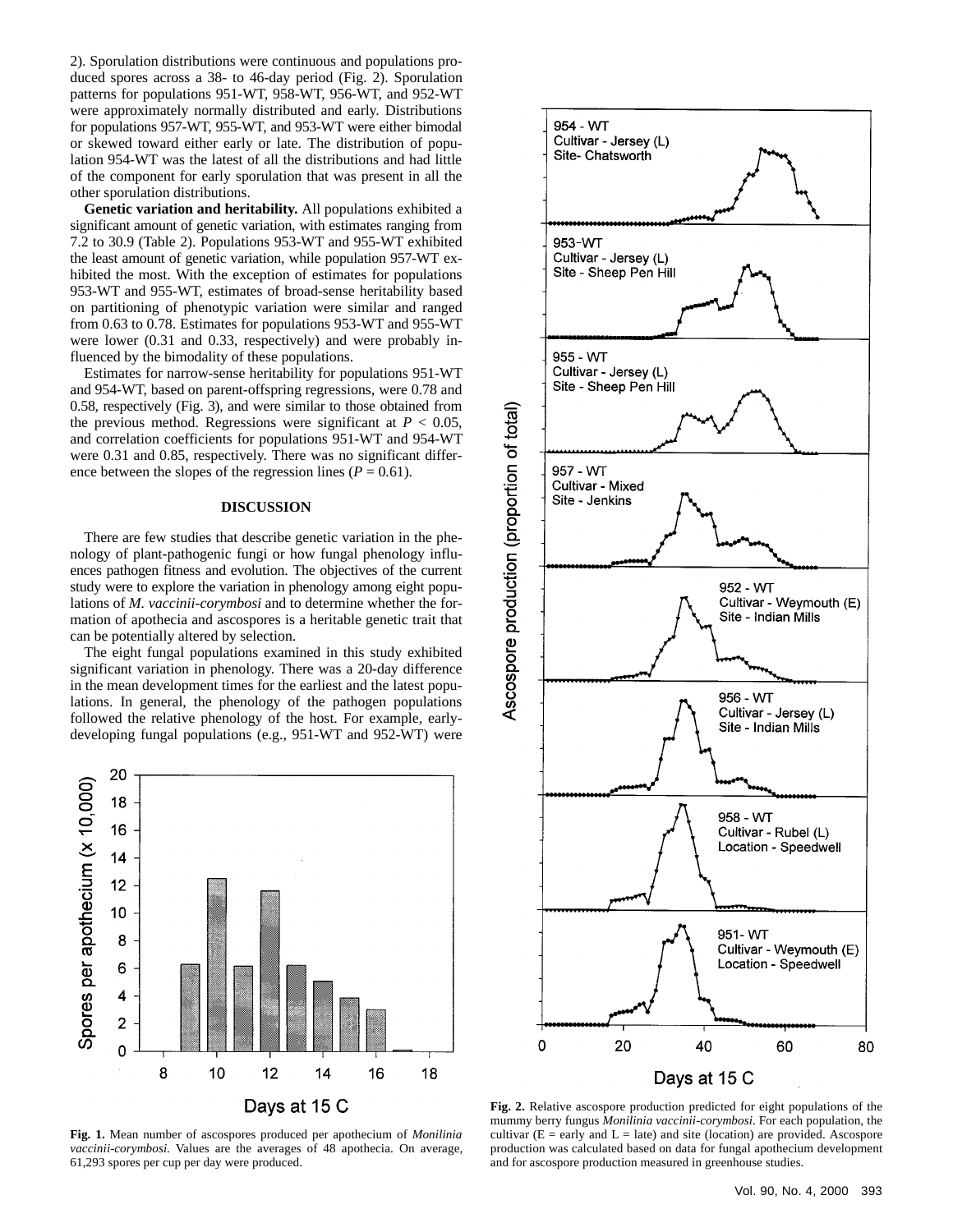2). Sporulation distributions were continuous and populations produced spores across a 38- to 46-day period (Fig. 2). Sporulation patterns for populations 951-WT, 958-WT, 956-WT, and 952-WT were approximately normally distributed and early. Distributions for populations 957-WT, 955-WT, and 953-WT were either bimodal or skewed toward either early or late. The distribution of population 954-WT was the latest of all the distributions and had little of the component for early sporulation that was present in all the other sporulation distributions.

**Genetic variation and heritability.** All populations exhibited a significant amount of genetic variation, with estimates ranging from 7.2 to 30.9 (Table 2). Populations 953-WT and 955-WT exhibited the least amount of genetic variation, while population 957-WT exhibited the most. With the exception of estimates for populations 953-WT and 955-WT, estimates of broad-sense heritability based on partitioning of phenotypic variation were similar and ranged from 0.63 to 0.78. Estimates for populations 953-WT and 955-WT were lower (0.31 and 0.33, respectively) and were probably influenced by the bimodality of these populations.

Estimates for narrow-sense heritability for populations 951-WT and 954-WT, based on parent-offspring regressions, were 0.78 and 0.58, respectively (Fig. 3), and were similar to those obtained from the previous method. Regressions were significant at  $P < 0.05$ , and correlation coefficients for populations 951-WT and 954-WT were 0.31 and 0.85, respectively. There was no significant difference between the slopes of the regression lines ( $P = 0.61$ ).

#### **DISCUSSION**

There are few studies that describe genetic variation in the phenology of plant-pathogenic fungi or how fungal phenology influences pathogen fitness and evolution. The objectives of the current study were to explore the variation in phenology among eight populations of *M. vaccinii-corymbosi* and to determine whether the formation of apothecia and ascospores is a heritable genetic trait that can be potentially altered by selection.

The eight fungal populations examined in this study exhibited significant variation in phenology. There was a 20-day difference in the mean development times for the earliest and the latest populations. In general, the phenology of the pathogen populations followed the relative phenology of the host. For example, earlydeveloping fungal populations (e.g., 951-WT and 952-WT) were







**Fig. 2.** Relative ascospore production predicted for eight populations of the mummy berry fungus *Monilinia vaccinii-corymbosi*. For each population, the cultivar ( $E =$  early and  $L =$  late) and site (location) are provided. Ascospore production was calculated based on data for fungal apothecium development and for ascospore production measured in greenhouse studies.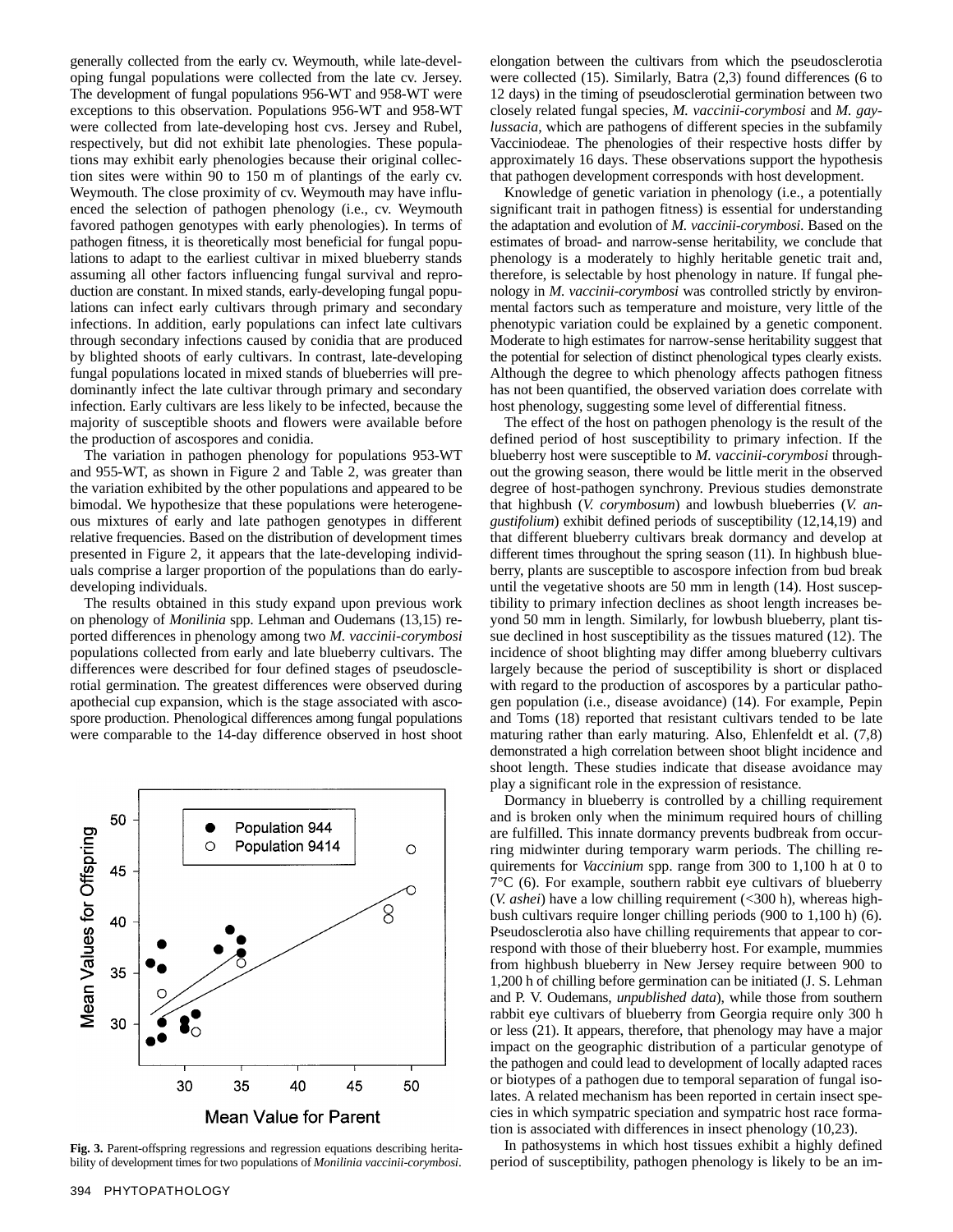generally collected from the early cv. Weymouth, while late-developing fungal populations were collected from the late cv. Jersey. The development of fungal populations 956-WT and 958-WT were exceptions to this observation. Populations 956-WT and 958-WT were collected from late-developing host cvs. Jersey and Rubel, respectively, but did not exhibit late phenologies. These populations may exhibit early phenologies because their original collection sites were within 90 to 150 m of plantings of the early cv. Weymouth. The close proximity of cv. Weymouth may have influenced the selection of pathogen phenology (i.e., cv. Weymouth favored pathogen genotypes with early phenologies). In terms of pathogen fitness, it is theoretically most beneficial for fungal populations to adapt to the earliest cultivar in mixed blueberry stands assuming all other factors influencing fungal survival and reproduction are constant. In mixed stands, early-developing fungal populations can infect early cultivars through primary and secondary infections. In addition, early populations can infect late cultivars through secondary infections caused by conidia that are produced by blighted shoots of early cultivars. In contrast, late-developing fungal populations located in mixed stands of blueberries will predominantly infect the late cultivar through primary and secondary infection. Early cultivars are less likely to be infected, because the majority of susceptible shoots and flowers were available before the production of ascospores and conidia.

The variation in pathogen phenology for populations 953-WT and 955-WT, as shown in Figure 2 and Table 2, was greater than the variation exhibited by the other populations and appeared to be bimodal. We hypothesize that these populations were heterogeneous mixtures of early and late pathogen genotypes in different relative frequencies. Based on the distribution of development times presented in Figure 2, it appears that the late-developing individuals comprise a larger proportion of the populations than do earlydeveloping individuals.

The results obtained in this study expand upon previous work on phenology of *Monilinia* spp. Lehman and Oudemans (13,15) reported differences in phenology among two *M. vaccinii-corymbosi* populations collected from early and late blueberry cultivars. The differences were described for four defined stages of pseudosclerotial germination. The greatest differences were observed during apothecial cup expansion, which is the stage associated with ascospore production. Phenological differences among fungal populations were comparable to the 14-day difference observed in host shoot



**Fig. 3.** Parent-offspring regressions and regression equations describing heritability of development times for two populations of *Monilinia vaccinii-corymbosi*.

elongation between the cultivars from which the pseudosclerotia were collected (15). Similarly, Batra (2,3) found differences (6 to 12 days) in the timing of pseudosclerotial germination between two closely related fungal species, *M. vaccinii-corymbosi* and *M. gaylussacia*, which are pathogens of different species in the subfamily Vacciniodeae. The phenologies of their respective hosts differ by approximately 16 days. These observations support the hypothesis that pathogen development corresponds with host development.

Knowledge of genetic variation in phenology (i.e., a potentially significant trait in pathogen fitness) is essential for understanding the adaptation and evolution of *M. vaccinii-corymbosi*. Based on the estimates of broad- and narrow-sense heritability, we conclude that phenology is a moderately to highly heritable genetic trait and, therefore, is selectable by host phenology in nature. If fungal phenology in *M. vaccinii-corymbosi* was controlled strictly by environmental factors such as temperature and moisture, very little of the phenotypic variation could be explained by a genetic component. Moderate to high estimates for narrow-sense heritability suggest that the potential for selection of distinct phenological types clearly exists. Although the degree to which phenology affects pathogen fitness has not been quantified, the observed variation does correlate with host phenology, suggesting some level of differential fitness.

The effect of the host on pathogen phenology is the result of the defined period of host susceptibility to primary infection. If the blueberry host were susceptible to *M. vaccinii-corymbosi* throughout the growing season, there would be little merit in the observed degree of host-pathogen synchrony. Previous studies demonstrate that highbush (*V. corymbosum*) and lowbush blueberries (*V. angustifolium*) exhibit defined periods of susceptibility (12,14,19) and that different blueberry cultivars break dormancy and develop at different times throughout the spring season (11). In highbush blueberry, plants are susceptible to ascospore infection from bud break until the vegetative shoots are 50 mm in length (14). Host susceptibility to primary infection declines as shoot length increases beyond 50 mm in length. Similarly, for lowbush blueberry, plant tissue declined in host susceptibility as the tissues matured (12). The incidence of shoot blighting may differ among blueberry cultivars largely because the period of susceptibility is short or displaced with regard to the production of ascospores by a particular pathogen population (i.e., disease avoidance) (14). For example, Pepin and Toms (18) reported that resistant cultivars tended to be late maturing rather than early maturing. Also, Ehlenfeldt et al. (7,8) demonstrated a high correlation between shoot blight incidence and shoot length. These studies indicate that disease avoidance may play a significant role in the expression of resistance.

Dormancy in blueberry is controlled by a chilling requirement and is broken only when the minimum required hours of chilling are fulfilled. This innate dormancy prevents budbreak from occurring midwinter during temporary warm periods. The chilling requirements for *Vaccinium* spp. range from 300 to 1,100 h at 0 to  $7^{\circ}$ C (6). For example, southern rabbit eye cultivars of blueberry (*V. ashei*) have a low chilling requirement (<300 h), whereas highbush cultivars require longer chilling periods (900 to 1,100 h) (6). Pseudosclerotia also have chilling requirements that appear to correspond with those of their blueberry host. For example, mummies from highbush blueberry in New Jersey require between 900 to 1,200 h of chilling before germination can be initiated (J. S. Lehman and P. V. Oudemans, *unpublished data*), while those from southern rabbit eye cultivars of blueberry from Georgia require only 300 h or less (21). It appears, therefore, that phenology may have a major impact on the geographic distribution of a particular genotype of the pathogen and could lead to development of locally adapted races or biotypes of a pathogen due to temporal separation of fungal isolates. A related mechanism has been reported in certain insect species in which sympatric speciation and sympatric host race formation is associated with differences in insect phenology (10,23).

In pathosystems in which host tissues exhibit a highly defined period of susceptibility, pathogen phenology is likely to be an im